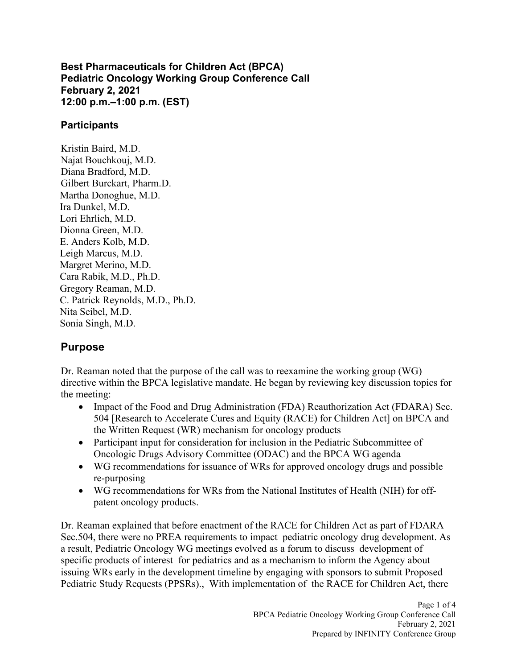**Best Pharmaceuticals for Children Act (BPCA) Pediatric Oncology Working Group Conference Call February 2, 2021 12:00 p.m.–1:00 p.m. (EST)** 

## **Participants**

Kristin Baird, M.D. Najat Bouchkouj, M.D. Diana Bradford, M.D. Gilbert Burckart, Pharm.D. Martha Donoghue, M.D. Ira Dunkel, M.D. Lori Ehrlich, M.D. Dionna Green, M.D. E. Anders Kolb, M.D. Leigh Marcus, M.D. Margret Merino, M.D. Cara Rabik, M.D., Ph.D. Gregory Reaman, M.D. C. Patrick Reynolds, M.D., Ph.D. Nita Seibel, M.D. Sonia Singh, M.D.

## **Purpose**

Dr. Reaman noted that the purpose of the call was to reexamine the working group (WG) directive within the BPCA legislative mandate. He began by reviewing key discussion topics for the meeting:

- Impact of the Food and Drug Administration (FDA) Reauthorization Act (FDARA) Sec. 504 [Research to Accelerate Cures and Equity (RACE) for Children Act] on BPCA and the Written Request (WR) mechanism for oncology products
- Participant input for consideration for inclusion in the Pediatric Subcommittee of Oncologic Drugs Advisory Committee (ODAC) and the BPCA WG agenda
- WG recommendations for issuance of WRs for approved oncology drugs and possible re-purposing
- WG recommendations for WRs from the National Institutes of Health (NIH) for offpatent oncology products.

Dr. Reaman explained that before enactment of the RACE for Children Act as part of FDARA Sec.504, there were no PREA requirements to impact pediatric oncology drug development. As a result, Pediatric Oncology WG meetings evolved as a forum to discuss development of specific products of interest for pediatrics and as a mechanism to inform the Agency about issuing WRs early in the development timeline by engaging with sponsors to submit Proposed Pediatric Study Requests (PPSRs)., With implementation of the RACE for Children Act, there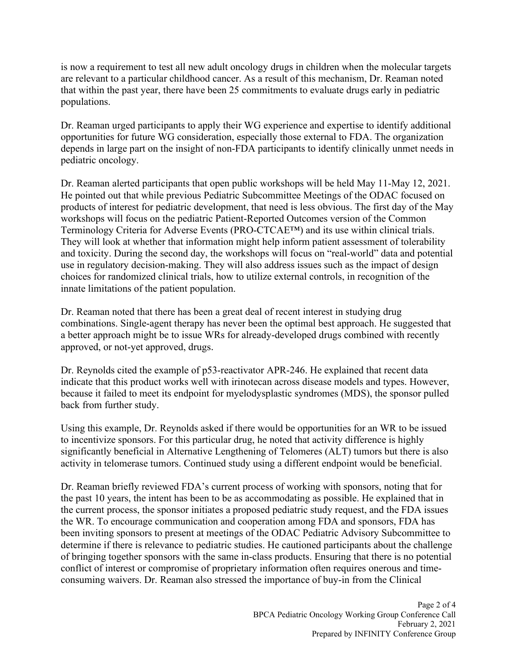is now a requirement to test all new adult oncology drugs in children when the molecular targets are relevant to a particular childhood cancer. As a result of this mechanism, Dr. Reaman noted that within the past year, there have been 25 commitments to evaluate drugs early in pediatric populations.

Dr. Reaman urged participants to apply their WG experience and expertise to identify additional opportunities for future WG consideration, especially those external to FDA. The organization depends in large part on the insight of non-FDA participants to identify clinically unmet needs in pediatric oncology.

Dr. Reaman alerted participants that open public workshops will be held May 11-May 12, 2021. He pointed out that while previous Pediatric Subcommittee Meetings of the ODAC focused on products of interest for pediatric development, that need is less obvious. The first day of the May workshops will focus on the pediatric Patient-Reported Outcomes version of the Common Terminology Criteria for Adverse Events (PRO-CTCAE™) and its use within clinical trials. They will look at whether that information might help inform patient assessment of tolerability and toxicity. During the second day, the workshops will focus on "real-world" data and potential use in regulatory decision-making. They will also address issues such as the impact of design choices for randomized clinical trials, how to utilize external controls, in recognition of the innate limitations of the patient population.

Dr. Reaman noted that there has been a great deal of recent interest in studying drug combinations. Single-agent therapy has never been the optimal best approach. He suggested that a better approach might be to issue WRs for already-developed drugs combined with recently approved, or not-yet approved, drugs.

Dr. Reynolds cited the example of p53-reactivator APR-246. He explained that recent data indicate that this product works well with irinotecan across disease models and types. However, because it failed to meet its endpoint for myelodysplastic syndromes (MDS), the sponsor pulled back from further study.

Using this example, Dr. Reynolds asked if there would be opportunities for an WR to be issued to incentivize sponsors. For this particular drug, he noted that activity difference is highly significantly beneficial in Alternative Lengthening of Telomeres (ALT) tumors but there is also activity in telomerase tumors. Continued study using a different endpoint would be beneficial.

Dr. Reaman briefly reviewed FDA's current process of working with sponsors, noting that for the past 10 years, the intent has been to be as accommodating as possible. He explained that in the current process, the sponsor initiates a proposed pediatric study request, and the FDA issues the WR. To encourage communication and cooperation among FDA and sponsors, FDA has been inviting sponsors to present at meetings of the ODAC Pediatric Advisory Subcommittee to determine if there is relevance to pediatric studies. He cautioned participants about the challenge of bringing together sponsors with the same in-class products. Ensuring that there is no potential conflict of interest or compromise of proprietary information often requires onerous and timeconsuming waivers. Dr. Reaman also stressed the importance of buy-in from the Clinical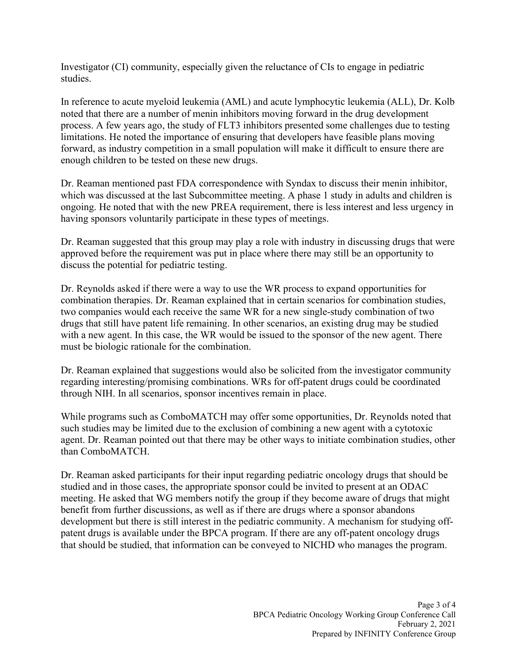Investigator (CI) community, especially given the reluctance of CIs to engage in pediatric studies.

In reference to acute myeloid leukemia (AML) and acute lymphocytic leukemia (ALL), Dr. Kolb noted that there are a number of menin inhibitors moving forward in the drug development process. A few years ago, the study of FLT3 inhibitors presented some challenges due to testing limitations. He noted the importance of ensuring that developers have feasible plans moving forward, as industry competition in a small population will make it difficult to ensure there are enough children to be tested on these new drugs.

Dr. Reaman mentioned past FDA correspondence with Syndax to discuss their menin inhibitor, which was discussed at the last Subcommittee meeting. A phase 1 study in adults and children is ongoing. He noted that with the new PREA requirement, there is less interest and less urgency in having sponsors voluntarily participate in these types of meetings.

Dr. Reaman suggested that this group may play a role with industry in discussing drugs that were approved before the requirement was put in place where there may still be an opportunity to discuss the potential for pediatric testing.

Dr. Reynolds asked if there were a way to use the WR process to expand opportunities for combination therapies. Dr. Reaman explained that in certain scenarios for combination studies, two companies would each receive the same WR for a new single-study combination of two drugs that still have patent life remaining. In other scenarios, an existing drug may be studied with a new agent. In this case, the WR would be issued to the sponsor of the new agent. There must be biologic rationale for the combination.

Dr. Reaman explained that suggestions would also be solicited from the investigator community regarding interesting/promising combinations. WRs for off-patent drugs could be coordinated through NIH. In all scenarios, sponsor incentives remain in place.

While programs such as ComboMATCH may offer some opportunities, Dr. Reynolds noted that such studies may be limited due to the exclusion of combining a new agent with a cytotoxic agent. Dr. Reaman pointed out that there may be other ways to initiate combination studies, other than ComboMATCH.

Dr. Reaman asked participants for their input regarding pediatric oncology drugs that should be studied and in those cases, the appropriate sponsor could be invited to present at an ODAC meeting. He asked that WG members notify the group if they become aware of drugs that might benefit from further discussions, as well as if there are drugs where a sponsor abandons development but there is still interest in the pediatric community. A mechanism for studying offpatent drugs is available under the BPCA program. If there are any off-patent oncology drugs that should be studied, that information can be conveyed to NICHD who manages the program.